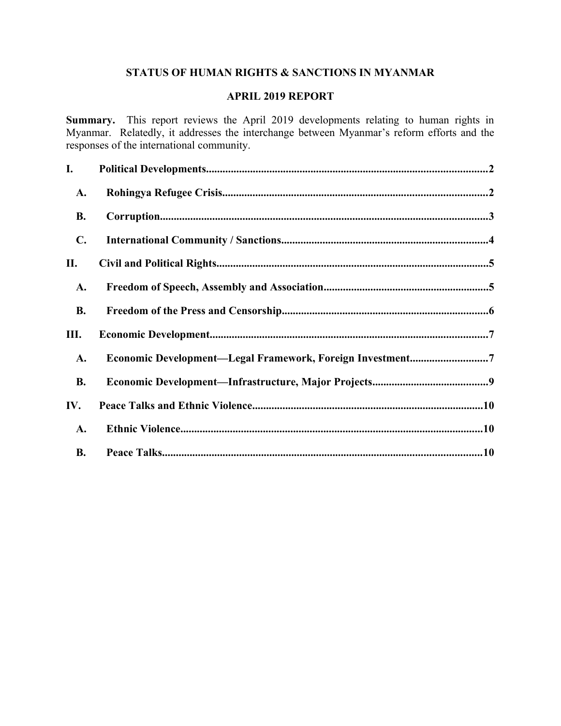# **STATUS OF HUMAN RIGHTS & SANCTIONS IN MYANMAR**

## **APRIL 2019 REPORT**

**Summary.** This report reviews the April 2019 developments relating to human rights in Myanmar. Relatedly, it addresses the interchange between Myanmar's reform efforts and the responses of the international community.

| I.             |                                                           |
|----------------|-----------------------------------------------------------|
| A.             |                                                           |
| <b>B.</b>      |                                                           |
| $\mathbf{C}$ . |                                                           |
| П.             |                                                           |
| A.             |                                                           |
| <b>B.</b>      |                                                           |
| Ш.             |                                                           |
| A.             | Economic Development-Legal Framework, Foreign Investment7 |
| <b>B.</b>      |                                                           |
| IV.            |                                                           |
| <b>A.</b>      |                                                           |
| <b>B.</b>      |                                                           |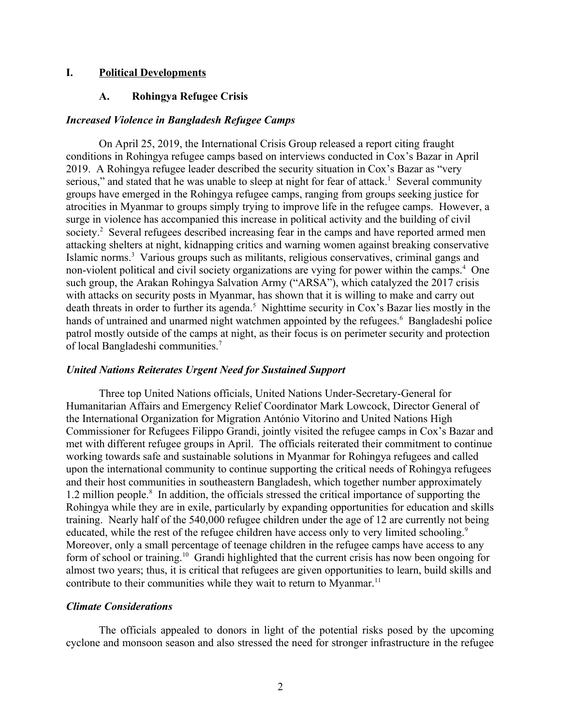### **I. Political Developments**

### <span id="page-1-1"></span><span id="page-1-0"></span>**A. Rohingya Refugee Crisis**

#### *Increased Violence in Bangladesh Refugee Camps*

On April 25, 2019, the International Crisis Group released a report citing fraught conditions in Rohingya refugee camps based on interviews conducted in Cox's Bazar in April 2019. A Rohingya refugee leader described the security situation in Cox's Bazar as "very serious," and stated that he was unable to sleep at night for fear of attack.<sup>1</sup> Several community groups have emerged in the Rohingya refugee camps, ranging from groups seeking justice for atrocities in Myanmar to groups simply trying to improve life in the refugee camps. However, a surge in violence has accompanied this increase in political activity and the building of civil society.<sup>2</sup> Several refugees described increasing fear in the camps and have reported armed men attacking shelters at night, kidnapping critics and warning women against breaking conservative Islamic norms.<sup>3</sup> Various groups such as militants, religious conservatives, criminal gangs and non-violent political and civil society organizations are vying for power within the camps.<sup>4</sup> One such group, the Arakan Rohingya Salvation Army ("ARSA"), which catalyzed the 2017 crisis with attacks on security posts in Myanmar, has shown that it is willing to make and carry out death threats in order to further its agenda.<sup>5</sup> Nighttime security in Cox's Bazar lies mostly in the hands of untrained and unarmed night watchmen appointed by the refugees.<sup>6</sup> Bangladeshi police patrol mostly outside of the camps at night, as their focus is on perimeter security and protection of local Bangladeshi communities.<sup>7</sup>

### *United Nations Reiterates Urgent Need for Sustained Support*

Three top United Nations officials, United Nations Under-Secretary-General for Humanitarian Affairs and Emergency Relief Coordinator Mark Lowcock, Director General of the International Organization for Migration António Vitorino and United Nations High Commissioner for Refugees Filippo Grandi, jointly visited the refugee camps in Cox's Bazar and met with different refugee groups in April. The officials reiterated their commitment to continue working towards safe and sustainable solutions in Myanmar for Rohingya refugees and called upon the international community to continue supporting the critical needs of Rohingya refugees and their host communities in southeastern Bangladesh, which together number approximately 1.2 million people.<sup>8</sup> In addition, the officials stressed the critical importance of supporting the Rohingya while they are in exile, particularly by expanding opportunities for education and skills training. Nearly half of the 540,000 refugee children under the age of 12 are currently not being educated, while the rest of the refugee children have access only to very limited schooling.<sup>9</sup> Moreover, only a small percentage of teenage children in the refugee camps have access to any form of school or training.<sup>10</sup> Grandi highlighted that the current crisis has now been ongoing for almost two years; thus, it is critical that refugees are given opportunities to learn, build skills and contribute to their communities while they wait to return to Myanmar.<sup>11</sup>

### *Climate Considerations*

The officials appealed to donors in light of the potential risks posed by the upcoming cyclone and monsoon season and also stressed the need for stronger infrastructure in the refugee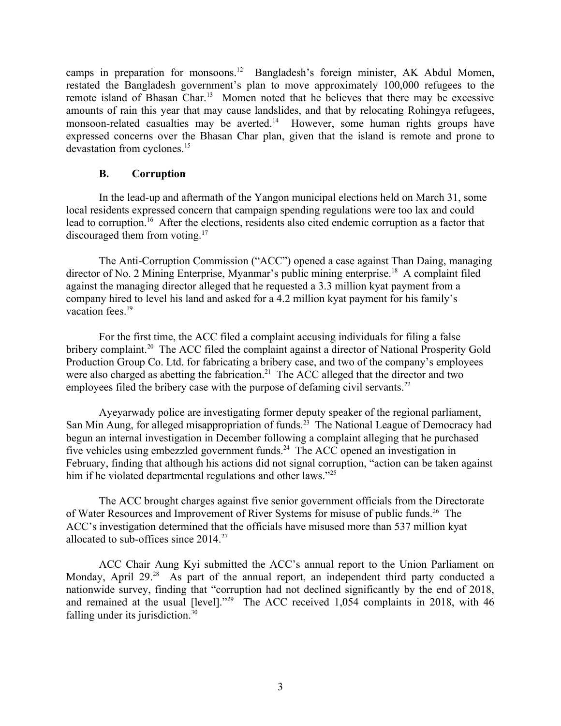camps in preparation for monsoons.<sup>12</sup> Bangladesh's foreign minister, AK Abdul Momen, restated the Bangladesh government's plan to move approximately 100,000 refugees to the remote island of Bhasan Char.<sup>13</sup> Momen noted that he believes that there may be excessive amounts of rain this year that may cause landslides, and that by relocating Rohingya refugees, monsoon-related casualties may be averted.<sup>14</sup> However, some human rights groups have expressed concerns over the Bhasan Char plan, given that the island is remote and prone to devastation from cyclones.<sup>15</sup>

### <span id="page-2-0"></span>**B. Corruption**

In the lead-up and aftermath of the Yangon municipal elections held on March 31, some local residents expressed concern that campaign spending regulations were too lax and could lead to corruption.<sup>16</sup> After the elections, residents also cited endemic corruption as a factor that discouraged them from voting.<sup>17</sup>

The Anti-Corruption Commission ("ACC") opened a case against Than Daing, managing director of No. 2 Mining Enterprise, Myanmar's public mining enterprise.<sup>18</sup> A complaint filed against the managing director alleged that he requested a 3.3 million kyat payment from a company hired to level his land and asked for a 4.2 million kyat payment for his family's vacation fees.<sup>19</sup>

For the first time, the ACC filed a complaint accusing individuals for filing a false bribery complaint.<sup>20</sup> The ACC filed the complaint against a director of National Prosperity Gold Production Group Co. Ltd. for fabricating a bribery case, and two of the company's employees were also charged as abetting the fabrication.<sup>21</sup> The ACC alleged that the director and two employees filed the bribery case with the purpose of defaming civil servants.<sup>22</sup>

Ayeyarwady police are investigating former deputy speaker of the regional parliament, San Min Aung, for alleged misappropriation of funds.<sup>23</sup> The National League of Democracy had begun an internal investigation in December following a complaint alleging that he purchased five vehicles using embezzled government funds.<sup>24</sup> The ACC opened an investigation in February, finding that although his actions did not signal corruption, "action can be taken against him if he violated departmental regulations and other laws."<sup>25</sup>

The ACC brought charges against five senior government officials from the Directorate of Water Resources and Improvement of River Systems for misuse of public funds.<sup>26</sup> The ACC's investigation determined that the officials have misused more than 537 million kyat allocated to sub-offices since 2014.<sup>27</sup>

ACC Chair Aung Kyi submitted the ACC's annual report to the Union Parliament on Monday, April 29.<sup>28</sup> As part of the annual report, an independent third party conducted a nationwide survey, finding that "corruption had not declined significantly by the end of 2018, and remained at the usual [level]."<sup>29</sup> The ACC received 1,054 complaints in 2018, with 46 falling under its jurisdiction.<sup>30</sup>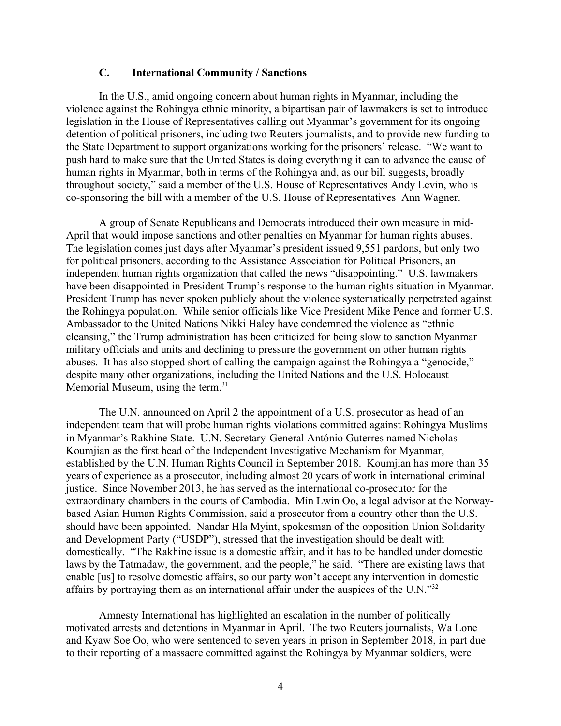### <span id="page-3-0"></span>**C. International Community / Sanctions**

In the U.S., amid ongoing concern about human rights in Myanmar, including the violence against the Rohingya ethnic minority, a bipartisan pair of lawmakers is set to introduce legislation in the House of Representatives calling out Myanmar's government for its ongoing detention of political prisoners, including two Reuters journalists, and to provide new funding to the State Department to support organizations working for the prisoners' release. "We want to push hard to make sure that the United States is doing everything it can to advance the cause of human rights in Myanmar, both in terms of the Rohingya and, as our bill suggests, broadly throughout society," said a member of the U.S. House of Representatives Andy Levin, who is co-sponsoring the bill with a member of the U.S. House of Representatives Ann Wagner.

A group of Senate Republicans and Democrats introduced their own measure in mid-April that would impose sanctions and other penalties on Myanmar for human rights abuses. The legislation comes just days after Myanmar's president issued 9,551 pardons, but only two for political prisoners, according to the Assistance Association for Political Prisoners, an independent human rights organization that called the news "disappointing." U.S. lawmakers have been disappointed in President Trump's response to the human rights situation in Myanmar. President Trump has never spoken publicly about the violence systematically perpetrated against the Rohingya population. While senior officials like Vice President Mike Pence and former U.S. Ambassador to the United Nations Nikki Haley have condemned the violence as "ethnic cleansing," the Trump administration has been criticized for being slow to sanction Myanmar military officials and units and declining to pressure the government on other human rights abuses. It has also stopped short of calling the campaign against the Rohingya a "genocide," despite many other organizations, including the United Nations and the U.S. Holocaust Memorial Museum, using the term.<sup>31</sup>

The U.N. announced on April 2 the appointment of a U.S. prosecutor as head of an independent team that will probe human rights violations committed against Rohingya Muslims in Myanmar's Rakhine State. U.N. Secretary-General António Guterres named Nicholas Koumjian as the first head of the Independent Investigative Mechanism for Myanmar, established by the U.N. Human Rights Council in September 2018. Koumjian has more than 35 years of experience as a prosecutor, including almost 20 years of work in international criminal justice. Since November 2013, he has served as the international co-prosecutor for the extraordinary chambers in the courts of Cambodia. Min Lwin Oo, a legal advisor at the Norwaybased Asian Human Rights Commission, said a prosecutor from a country other than the U.S. should have been appointed. Nandar Hla Myint, spokesman of the opposition Union Solidarity and Development Party ("USDP"), stressed that the investigation should be dealt with domestically. "The Rakhine issue is a domestic affair, and it has to be handled under domestic laws by the Tatmadaw, the government, and the people," he said. "There are existing laws that enable [us] to resolve domestic affairs, so our party won't accept any intervention in domestic affairs by portraying them as an international affair under the auspices of the U.N."<sup>32</sup>

Amnesty International has highlighted an escalation in the number of politically motivated arrests and detentions in Myanmar in April. The two Reuters journalists, Wa Lone and Kyaw Soe Oo, who were sentenced to seven years in prison in September 2018, in part due to their reporting of a massacre committed against the Rohingya by Myanmar soldiers, were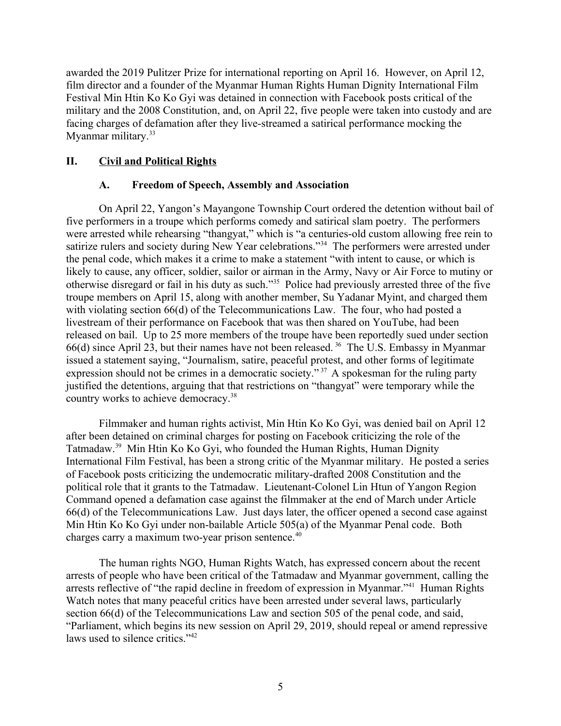awarded the 2019 Pulitzer Prize for international reporting on April 16. However, on April 12, film director and a founder of the Myanmar Human Rights Human Dignity International Film Festival Min Htin Ko Ko Gyi was detained in connection with Facebook posts critical of the military and the 2008 Constitution, and, on April 22, five people were taken into custody and are facing charges of defamation after they live-streamed a satirical performance mocking the Myanmar military.<sup>33</sup>

# **II. Civil and Political Rights**

### <span id="page-4-1"></span><span id="page-4-0"></span>**A. Freedom of Speech, Assembly and Association**

On April 22, Yangon's Mayangone Township Court ordered the detention without bail of five performers in a troupe which performs comedy and satirical slam poetry. The performers were arrested while rehearsing "thangyat," which is "a centuries-old custom allowing free rein to satirize rulers and society during New Year celebrations."<sup>34</sup> The performers were arrested under the penal code, which makes it a crime to make a statement "with intent to cause, or which is likely to cause, any officer, soldier, sailor or airman in the Army, Navy or Air Force to mutiny or otherwise disregard or fail in his duty as such."<sup>35</sup> Police had previously arrested three of the five troupe members on April 15, along with another member, Su Yadanar Myint, and charged them with violating section 66(d) of the Telecommunications Law. The four, who had posted a livestream of their performance on Facebook that was then shared on YouTube, had been released on bail. Up to 25 more members of the troupe have been reportedly sued under section 66(d) since April 23, but their names have not been released. <sup>36</sup> The U.S. Embassy in Myanmar issued a statement saying, "Journalism, satire, peaceful protest, and other forms of legitimate expression should not be crimes in a democratic society."<sup>37</sup> A spokesman for the ruling party justified the detentions, arguing that that restrictions on "thangyat" were temporary while the country works to achieve democracy.<sup>38</sup>

Filmmaker and human rights activist, Min Htin Ko Ko Gyi, was denied bail on April 12 after been detained on criminal charges for posting on Facebook criticizing the role of the Tatmadaw.<sup>39</sup> Min Htin Ko Ko Gyi, who founded the Human Rights, Human Dignity International Film Festival, has been a strong critic of the Myanmar military. He posted a series of Facebook posts criticizing the undemocratic military-drafted 2008 Constitution and the political role that it grants to the Tatmadaw. Lieutenant-Colonel Lin Htun of Yangon Region Command opened a defamation case against the filmmaker at the end of March under Article 66(d) of the Telecommunications Law. Just days later, the officer opened a second case against Min Htin Ko Ko Gyi under non-bailable Article 505(a) of the Myanmar Penal code. Both charges carry a maximum two-year prison sentence.<sup>40</sup>

The human rights NGO, Human Rights Watch, has expressed concern about the recent arrests of people who have been critical of the Tatmadaw and Myanmar government, calling the arrests reflective of "the rapid decline in freedom of expression in Myanmar."<sup>41</sup> Human Rights Watch notes that many peaceful critics have been arrested under several laws, particularly section 66(d) of the Telecommunications Law and section 505 of the penal code, and said, "Parliament, which begins its new session on April 29, 2019, should repeal or amend repressive laws used to silence critics."<sup>42</sup>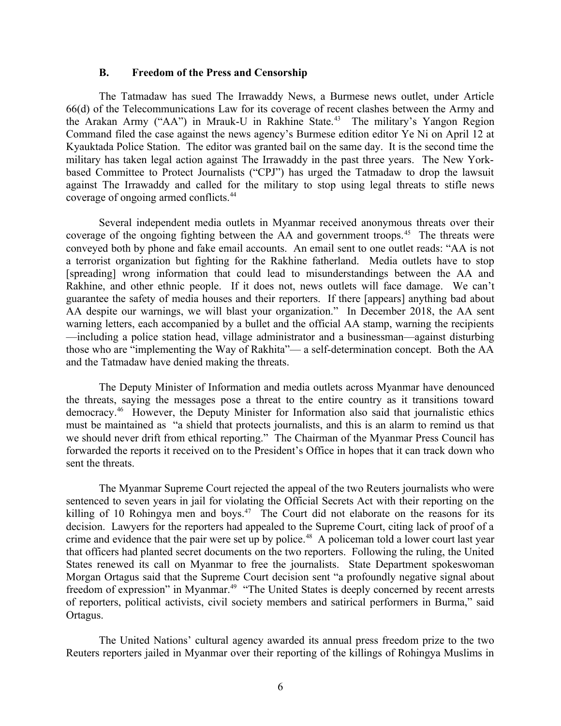#### <span id="page-5-0"></span>**B. Freedom of the Press and Censorship**

The Tatmadaw has sued The Irrawaddy News, a Burmese news outlet, under Article 66(d) of the Telecommunications Law for its coverage of recent clashes between the Army and the Arakan Army ("AA") in Mrauk-U in Rakhine State.<sup>43</sup> The military's Yangon Region Command filed the case against the news agency's Burmese edition editor Ye Ni on April 12 at Kyauktada Police Station. The editor was granted bail on the same day. It is the second time the military has taken legal action against The Irrawaddy in the past three years. The New Yorkbased Committee to Protect Journalists ("CPJ") has urged the Tatmadaw to drop the lawsuit against The Irrawaddy and called for the military to stop using legal threats to stifle news coverage of ongoing armed conflicts.<sup>44</sup>

Several independent media outlets in Myanmar received anonymous threats over their coverage of the ongoing fighting between the AA and government troops.<sup>45</sup> The threats were conveyed both by phone and fake email accounts. An email sent to one outlet reads: "AA is not a terrorist organization but fighting for the Rakhine fatherland. Media outlets have to stop [spreading] wrong information that could lead to misunderstandings between the AA and Rakhine, and other ethnic people. If it does not, news outlets will face damage. We can't guarantee the safety of media houses and their reporters. If there [appears] anything bad about AA despite our warnings, we will blast your organization." In December 2018, the AA sent warning letters, each accompanied by a bullet and the official AA stamp, warning the recipients —including a police station head, village administrator and a businessman—against disturbing those who are "implementing the Way of Rakhita"— a self-determination concept. Both the AA and the Tatmadaw have denied making the threats.

The Deputy Minister of Information and media outlets across Myanmar have denounced the threats, saying the messages pose a threat to the entire country as it transitions toward democracy.<sup>46</sup> However, the Deputy Minister for Information also said that journalistic ethics must be maintained as "a shield that protects journalists, and this is an alarm to remind us that we should never drift from ethical reporting." The Chairman of the Myanmar Press Council has forwarded the reports it received on to the President's Office in hopes that it can track down who sent the threats.

The Myanmar Supreme Court rejected the appeal of the two Reuters journalists who were sentenced to seven years in jail for violating the Official Secrets Act with their reporting on the killing of 10 Rohingya men and boys.<sup>47</sup> The Court did not elaborate on the reasons for its decision. Lawyers for the reporters had appealed to the Supreme Court, citing lack of proof of a crime and evidence that the pair were set up by police.<sup>48</sup> A policeman told a lower court last year that officers had planted secret documents on the two reporters. Following the ruling, the United States renewed its call on Myanmar to free the journalists. State Department spokeswoman Morgan Ortagus said that the Supreme Court decision sent "a profoundly negative signal about freedom of expression" in Myanmar.<sup>49</sup> "The United States is deeply concerned by recent arrests of reporters, political activists, civil society members and satirical performers in Burma," said Ortagus.

The United Nations' cultural agency awarded its annual press freedom prize to the two Reuters reporters jailed in Myanmar over their reporting of the killings of Rohingya Muslims in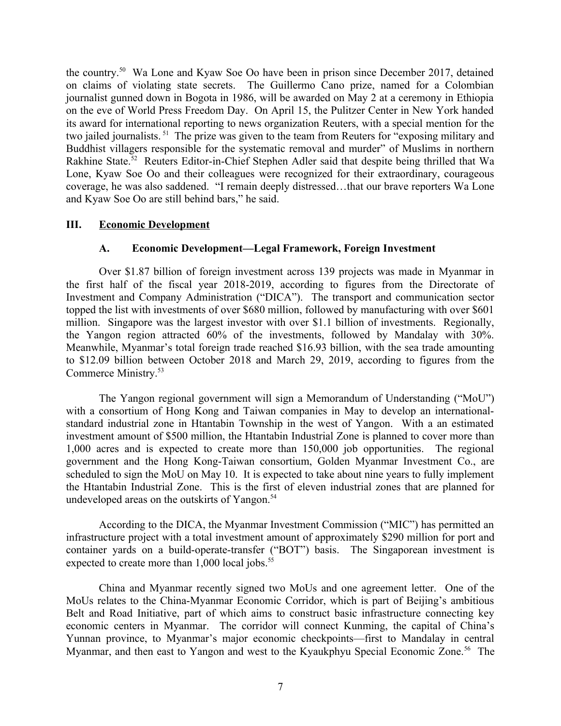the country.<sup>50</sup> Wa Lone and Kyaw Soe Oo have been in prison since December 2017, detained on claims of violating state secrets. The Guillermo Cano prize, named for a Colombian journalist gunned down in Bogota in 1986, will be awarded on May 2 at a ceremony in Ethiopia on the eve of World Press Freedom Day. On April 15, the Pulitzer Center in New York handed its award for international reporting to news organization Reuters, with a special mention for the two jailed journalists. <sup>51</sup> The prize was given to the team from Reuters for "exposing military and Buddhist villagers responsible for the systematic removal and murder" of Muslims in northern Rakhine State.<sup>52</sup> Reuters Editor-in-Chief Stephen Adler said that despite being thrilled that Wa Lone, Kyaw Soe Oo and their colleagues were recognized for their extraordinary, courageous coverage, he was also saddened. "I remain deeply distressed…that our brave reporters Wa Lone and Kyaw Soe Oo are still behind bars," he said.

### **III. Economic Development**

### <span id="page-6-1"></span><span id="page-6-0"></span>**A. Economic Development—Legal Framework, Foreign Investment**

Over \$1.87 billion of foreign investment across 139 projects was made in Myanmar in the first half of the fiscal year 2018-2019, according to figures from the Directorate of Investment and Company Administration ("DICA"). The transport and communication sector topped the list with investments of over \$680 million, followed by manufacturing with over \$601 million. Singapore was the largest investor with over \$1.1 billion of investments. Regionally, the Yangon region attracted 60% of the investments, followed by Mandalay with 30%. Meanwhile, Myanmar's total foreign trade reached \$16.93 billion, with the sea trade amounting to \$12.09 billion between October 2018 and March 29, 2019, according to figures from the Commerce Ministry.<sup>53</sup>

The Yangon regional government will sign a Memorandum of Understanding ("MoU") with a consortium of Hong Kong and Taiwan companies in May to develop an internationalstandard industrial zone in Htantabin Township in the west of Yangon. With a an estimated investment amount of \$500 million, the Htantabin Industrial Zone is planned to cover more than 1,000 acres and is expected to create more than 150,000 job opportunities. The regional government and the Hong Kong-Taiwan consortium, Golden Myanmar Investment Co., are scheduled to sign the MoU on May 10. It is expected to take about nine years to fully implement the Htantabin Industrial Zone. This is the first of eleven industrial zones that are planned for undeveloped areas on the outskirts of Yangon.<sup>54</sup>

According to the DICA, the Myanmar Investment Commission ("MIC") has permitted an infrastructure project with a total investment amount of approximately \$290 million for port and container yards on a build-operate-transfer ("BOT") basis. The Singaporean investment is expected to create more than  $1,000$  local jobs.<sup>55</sup>

China and Myanmar recently signed two MoUs and one agreement letter. One of the MoUs relates to the China-Myanmar Economic Corridor, which is part of Beijing's ambitious Belt and Road Initiative, part of which aims to construct basic infrastructure connecting key economic centers in Myanmar. The corridor will connect Kunming, the capital of China's Yunnan province, to Myanmar's major economic checkpoints—first to Mandalay in central Myanmar, and then east to Yangon and west to the Kyaukphyu Special Economic Zone.<sup>56</sup> The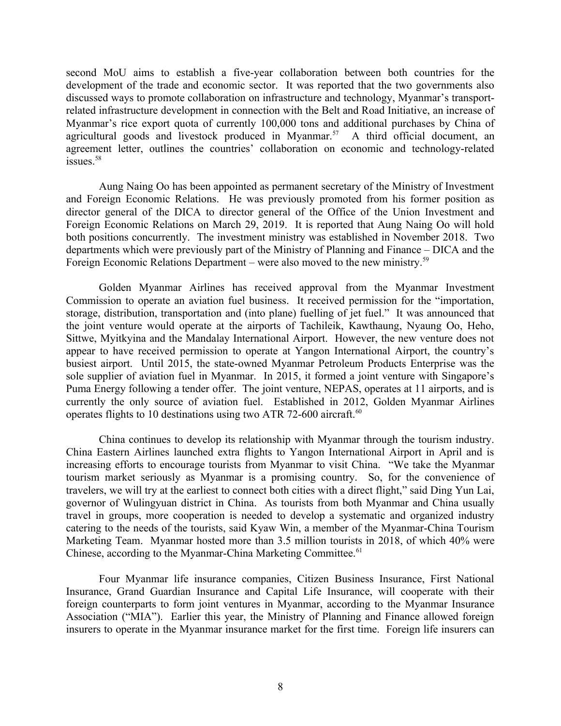second MoU aims to establish a five-year collaboration between both countries for the development of the trade and economic sector. It was reported that the two governments also discussed ways to promote collaboration on infrastructure and technology, Myanmar's transportrelated infrastructure development in connection with the Belt and Road Initiative, an increase of Myanmar's rice export quota of currently 100,000 tons and additional purchases by China of agricultural goods and livestock produced in Myanmar.<sup>57</sup> A third official document, an agreement letter, outlines the countries' collaboration on economic and technology-related issues.<sup>58</sup>

Aung Naing Oo has been appointed as permanent secretary of the Ministry of Investment and Foreign Economic Relations. He was previously promoted from his former position as director general of the DICA to director general of the Office of the Union Investment and Foreign Economic Relations on March 29, 2019. It is reported that Aung Naing Oo will hold both positions concurrently. The investment ministry was established in November 2018. Two departments which were previously part of the Ministry of Planning and Finance – DICA and the Foreign Economic Relations Department – were also moved to the new ministry.<sup>59</sup>

Golden Myanmar Airlines has received approval from the Myanmar Investment Commission to operate an aviation fuel business. It received permission for the "importation, storage, distribution, transportation and (into plane) fuelling of jet fuel." It was announced that the joint venture would operate at the airports of Tachileik, Kawthaung, Nyaung Oo, Heho, Sittwe, Myitkyina and the Mandalay International Airport. However, the new venture does not appear to have received permission to operate at Yangon International Airport, the country's busiest airport. Until 2015, the state-owned Myanmar Petroleum Products Enterprise was the sole supplier of aviation fuel in Myanmar. In 2015, it formed a joint venture with Singapore's Puma Energy following a tender offer. The joint venture, NEPAS, operates at 11 airports, and is currently the only source of aviation fuel. Established in 2012, Golden Myanmar Airlines operates flights to 10 destinations using two ATR 72-600 aircraft. $60$ 

China continues to develop its relationship with Myanmar through the tourism industry. China Eastern Airlines launched extra flights to Yangon International Airport in April and is increasing efforts to encourage tourists from Myanmar to visit China. "We take the Myanmar tourism market seriously as Myanmar is a promising country. So, for the convenience of travelers, we will try at the earliest to connect both cities with a direct flight," said Ding Yun Lai, governor of Wulingyuan district in China. As tourists from both Myanmar and China usually travel in groups, more cooperation is needed to develop a systematic and organized industry catering to the needs of the tourists, said Kyaw Win, a member of the Myanmar-China Tourism Marketing Team. Myanmar hosted more than 3.5 million tourists in 2018, of which 40% were Chinese, according to the Myanmar-China Marketing Committee.<sup>61</sup>

Four Myanmar life insurance companies, Citizen Business Insurance, First National Insurance, Grand Guardian Insurance and Capital Life Insurance, will cooperate with their foreign counterparts to form joint ventures in Myanmar, according to the Myanmar Insurance Association ("MIA"). Earlier this year, the Ministry of Planning and Finance allowed foreign insurers to operate in the Myanmar insurance market for the first time. Foreign life insurers can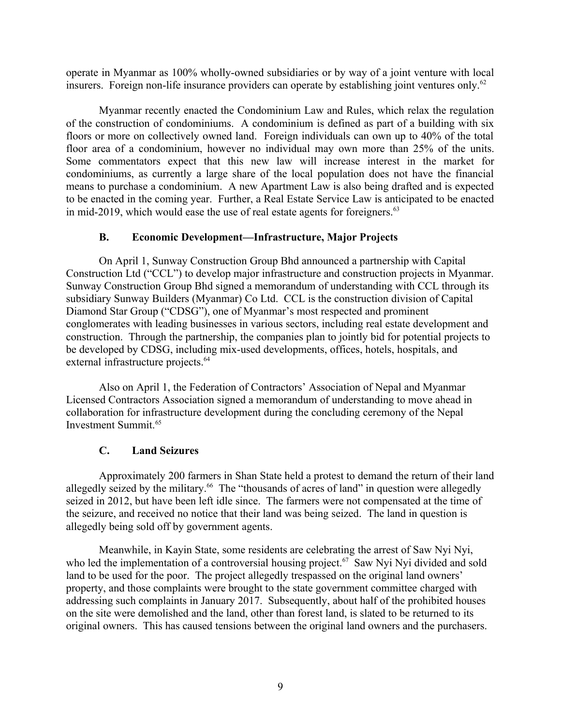operate in Myanmar as 100% wholly-owned subsidiaries or by way of a joint venture with local insurers. Foreign non-life insurance providers can operate by establishing joint ventures only.<sup>62</sup>

Myanmar recently enacted the Condominium Law and Rules, which relax the regulation of the construction of condominiums. A condominium is defined as part of a building with six floors or more on collectively owned land. Foreign individuals can own up to 40% of the total floor area of a condominium, however no individual may own more than 25% of the units. Some commentators expect that this new law will increase interest in the market for condominiums, as currently a large share of the local population does not have the financial means to purchase a condominium. A new Apartment Law is also being drafted and is expected to be enacted in the coming year. Further, a Real Estate Service Law is anticipated to be enacted in mid-2019, which would ease the use of real estate agents for foreigners. $63$ 

### <span id="page-8-0"></span>**B. Economic Development—Infrastructure, Major Projects**

On April 1, Sunway Construction Group Bhd announced a partnership with Capital Construction Ltd ("CCL") to develop major infrastructure and construction projects in Myanmar. Sunway Construction Group Bhd signed a memorandum of understanding with CCL through its subsidiary Sunway Builders (Myanmar) Co Ltd. CCL is the construction division of Capital Diamond Star Group ("CDSG"), one of Myanmar's most respected and prominent conglomerates with leading businesses in various sectors, including real estate development and construction. Through the partnership, the companies plan to jointly bid for potential projects to be developed by CDSG, including mix-used developments, offices, hotels, hospitals, and external infrastructure projects.<sup>64</sup>

Also on April 1, the Federation of Contractors' Association of Nepal and Myanmar Licensed Contractors Association signed a memorandum of understanding to move ahead in collaboration for infrastructure development during the concluding ceremony of the Nepal Investment Summit.<sup>65</sup>

# **C. Land Seizures**

Approximately 200 farmers in Shan State held a protest to demand the return of their land allegedly seized by the military.<sup>66</sup> The "thousands of acres of land" in question were allegedly seized in 2012, but have been left idle since. The farmers were not compensated at the time of the seizure, and received no notice that their land was being seized. The land in question is allegedly being sold off by government agents.

Meanwhile, in Kayin State, some residents are celebrating the arrest of Saw Nyi Nyi, who led the implementation of a controversial housing project.<sup>67</sup> Saw Nyi Nyi divided and sold land to be used for the poor. The project allegedly trespassed on the original land owners' property, and those complaints were brought to the state government committee charged with addressing such complaints in January 2017. Subsequently, about half of the prohibited houses on the site were demolished and the land, other than forest land, is slated to be returned to its original owners. This has caused tensions between the original land owners and the purchasers.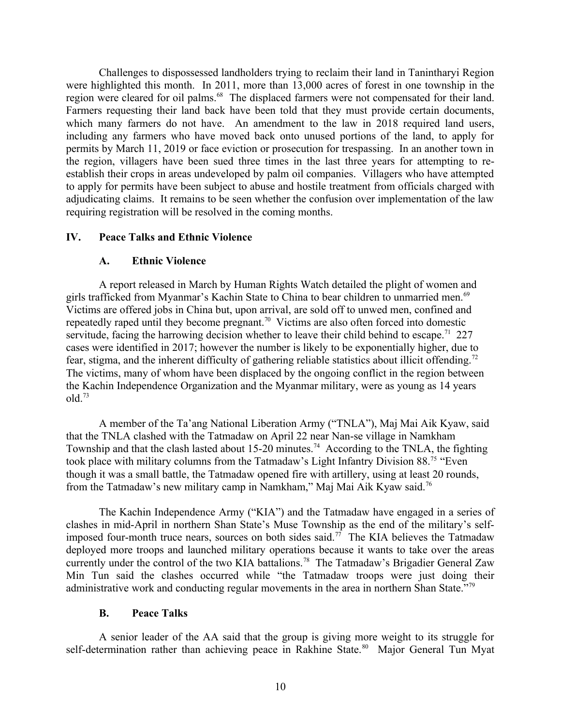Challenges to dispossessed landholders trying to reclaim their land in Tanintharyi Region were highlighted this month. In 2011, more than 13,000 acres of forest in one township in the region were cleared for oil palms.<sup>68</sup> The displaced farmers were not compensated for their land. Farmers requesting their land back have been told that they must provide certain documents, which many farmers do not have. An amendment to the law in 2018 required land users, including any farmers who have moved back onto unused portions of the land, to apply for permits by March 11, 2019 or face eviction or prosecution for trespassing. In an another town in the region, villagers have been sued three times in the last three years for attempting to reestablish their crops in areas undeveloped by palm oil companies. Villagers who have attempted to apply for permits have been subject to abuse and hostile treatment from officials charged with adjudicating claims. It remains to be seen whether the confusion over implementation of the law requiring registration will be resolved in the coming months.

### **IV. Peace Talks and Ethnic Violence**

### <span id="page-9-2"></span><span id="page-9-1"></span>**A. Ethnic Violence**

A report released in March by Human Rights Watch detailed the plight of women and girls trafficked from Myanmar's Kachin State to China to bear children to unmarried men.<sup>69</sup> Victims are offered jobs in China but, upon arrival, are sold off to unwed men, confined and repeatedly raped until they become pregnant.<sup>70</sup> Victims are also often forced into domestic servitude, facing the harrowing decision whether to leave their child behind to escape.<sup>71</sup> 227 cases were identified in 2017; however the number is likely to be exponentially higher, due to fear, stigma, and the inherent difficulty of gathering reliable statistics about illicit offending.<sup>72</sup> The victims, many of whom have been displaced by the ongoing conflict in the region between the Kachin Independence Organization and the Myanmar military, were as young as 14 years old.<sup>73</sup>

A member of the Ta'ang National Liberation Army ("TNLA"), Maj Mai Aik Kyaw, said that the TNLA clashed with the Tatmadaw on April 22 near Nan-se village in Namkham Township and that the clash lasted about 15-20 minutes.<sup>74</sup> According to the TNLA, the fighting took place with military columns from the Tatmadaw's Light Infantry Division 88.<sup>75</sup> "Even" though it was a small battle, the Tatmadaw opened fire with artillery, using at least 20 rounds, from the Tatmadaw's new military camp in Namkham," Maj Mai Aik Kyaw said.<sup>76</sup>

The Kachin Independence Army ("KIA") and the Tatmadaw have engaged in a series of clashes in mid-April in northern Shan State's Muse Township as the end of the military's selfimposed four-month truce nears, sources on both sides said.<sup>77</sup> The KIA believes the Tatmadaw deployed more troops and launched military operations because it wants to take over the areas currently under the control of the two KIA battalions.<sup>78</sup> The Tatmadaw's Brigadier General Zaw Min Tun said the clashes occurred while "the Tatmadaw troops were just doing their administrative work and conducting regular movements in the area in northern Shan State."<sup>79</sup>

### <span id="page-9-0"></span>**B. Peace Talks**

A senior leader of the AA said that the group is giving more weight to its struggle for self-determination rather than achieving peace in Rakhine State.<sup>80</sup> Major General Tun Myat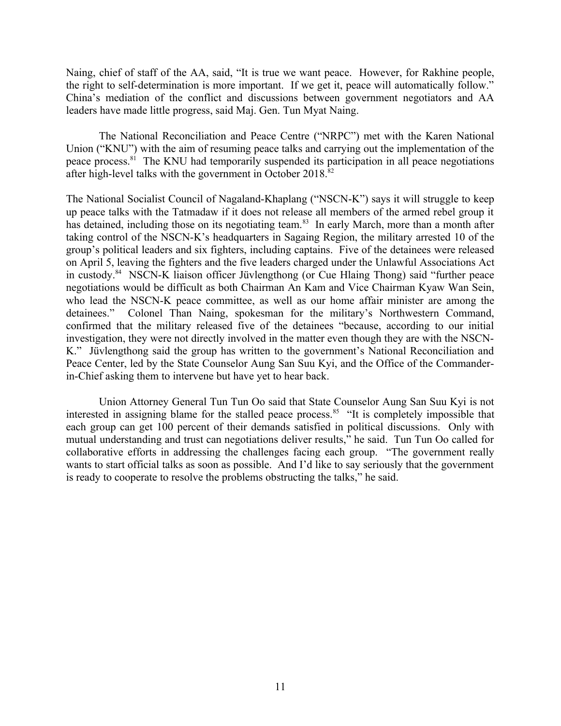Naing, chief of staff of the AA, said, "It is true we want peace. However, for Rakhine people, the right to self-determination is more important. If we get it, peace will automatically follow." China's mediation of the conflict and discussions between government negotiators and AA leaders have made little progress, said Maj. Gen. Tun Myat Naing.

The National Reconciliation and Peace Centre ("NRPC") met with the Karen National Union ("KNU") with the aim of resuming peace talks and carrying out the implementation of the peace process.<sup>81</sup> The KNU had temporarily suspended its participation in all peace negotiations after high-level talks with the government in October 2018.<sup>82</sup>

The National Socialist Council of Nagaland-Khaplang ("NSCN-K") says it will struggle to keep up peace talks with the Tatmadaw if it does not release all members of the armed rebel group it has detained, including those on its negotiating team.<sup>83</sup> In early March, more than a month after taking control of the NSCN-K's headquarters in Sagaing Region, the military arrested 10 of the group's political leaders and six fighters, including captains. Five of the detainees were released on April 5, leaving the fighters and the five leaders charged under the Unlawful Associations Act in custody.<sup>84</sup> NSCN-K liaison officer Jüvlengthong (or Cue Hlaing Thong) said "further peace negotiations would be difficult as both Chairman An Kam and Vice Chairman Kyaw Wan Sein, who lead the NSCN-K peace committee, as well as our home affair minister are among the detainees." Colonel Than Naing, spokesman for the military's Northwestern Command, confirmed that the military released five of the detainees "because, according to our initial investigation, they were not directly involved in the matter even though they are with the NSCN-K." Jüvlengthong said the group has written to the government's National Reconciliation and Peace Center, led by the State Counselor Aung San Suu Kyi, and the Office of the Commanderin-Chief asking them to intervene but have yet to hear back.

Union Attorney General Tun Tun Oo said that State Counselor Aung San Suu Kyi is not interested in assigning blame for the stalled peace process.<sup>85</sup> "It is completely impossible that each group can get 100 percent of their demands satisfied in political discussions. Only with mutual understanding and trust can negotiations deliver results," he said. Tun Tun Oo called for collaborative efforts in addressing the challenges facing each group. "The government really wants to start official talks as soon as possible. And I'd like to say seriously that the government is ready to cooperate to resolve the problems obstructing the talks," he said.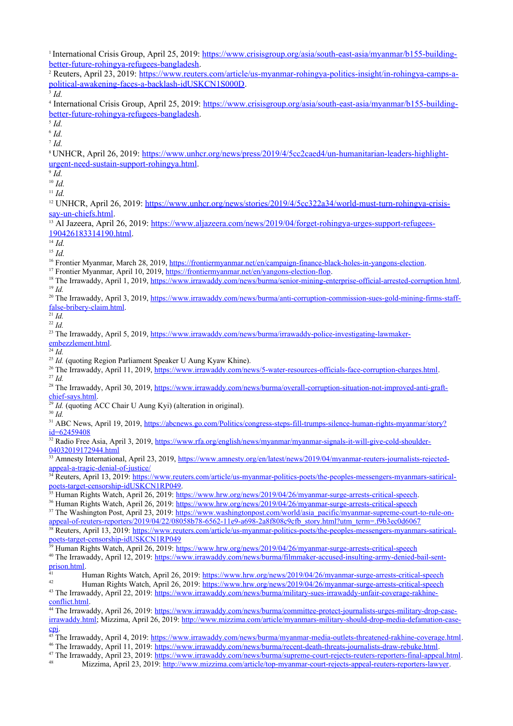<sup>1</sup> International Crisis Group, April 25, 2019: [https://www.crisisgroup.org/asia/south-east-asia/myanmar/b155-building](https://www.crisisgroup.org/asia/south-east-asia/myanmar/b155-building-better-future-rohingya-refugees-bangladesh)[better-future-rohingya-refugees-bangladesh](https://www.crisisgroup.org/asia/south-east-asia/myanmar/b155-building-better-future-rohingya-refugees-bangladesh).

<sup>2</sup> Reuters, April 23, 2019: [https://www.reuters.com/article/us-myanmar-rohingya-politics-insight/in-rohingya-camps-a](https://www.reuters.com/article/us-myanmar-rohingya-politics-insight/in-rohingya-camps-a-political-awakening-faces-a-backlash-idUSKCN1S000D)[political-awakening-faces-a-backlash-idUSKCN1S000D](https://www.reuters.com/article/us-myanmar-rohingya-politics-insight/in-rohingya-camps-a-political-awakening-faces-a-backlash-idUSKCN1S000D).

3 *Id.*

<sup>4</sup> International Crisis Group, April 25, 2019: [https://www.crisisgroup.org/asia/south-east-asia/myanmar/b155-building](https://www.crisisgroup.org/asia/south-east-asia/myanmar/b155-building-better-future-rohingya-refugees-bangladesh)[better-future-rohingya-refugees-bangladesh](https://www.crisisgroup.org/asia/south-east-asia/myanmar/b155-building-better-future-rohingya-refugees-bangladesh).

5 *Id.*

6 *Id.*

7 *Id.*

<sup>8</sup> UNHCR, April 26, 2019: [https://www.unhcr.org/news/press/2019/4/5cc2caed4/un-humanitarian-leaders-highlight](https://www.unhcr.org/news/press/2019/4/5cc2caed4/un-humanitarian-leaders-highlight-urgent-need-sustain-support-rohingya.html)[urgent-need-sustain-support-rohingya.html.](https://www.unhcr.org/news/press/2019/4/5cc2caed4/un-humanitarian-leaders-highlight-urgent-need-sustain-support-rohingya.html)

9 *Id.*

 $10$  *Id.* 

<sup>11</sup> *Id.*

<sup>12</sup> UNHCR, April 26, 2019: [https://www.unhcr.org/news/stories/2019/4/5cc322a34/world-must-turn-rohingya-crisis](https://www.unhcr.org/news/stories/2019/4/5cc322a34/world-must-turn-rohingya-crisis-say-un-chiefs.html)[say-un-chiefs.html](https://www.unhcr.org/news/stories/2019/4/5cc322a34/world-must-turn-rohingya-crisis-say-un-chiefs.html).

13 Al Jazeera, April 26, 2019: [https://www.aljazeera.com/news/2019/04/forget-rohingya-urges-support-refugees-](https://www.aljazeera.com/news/2019/04/forget-rohingya-urges-support-refugees-190426183314190.html)[190426183314190.html.](https://www.aljazeera.com/news/2019/04/forget-rohingya-urges-support-refugees-190426183314190.html)

 $\overline{14}$  *Id.* 

<sup>15</sup> *Id.*

<sup>16</sup> Frontier Myanmar, March 28, 2019, [https://frontiermyanmar.net/en/campaign-finance-black-holes-in-yangons-election.](https://frontiermyanmar.net/en/campaign-finance-black-holes-in-yangons-election)

<sup>17</sup> Frontier Myanmar, April 10, 2019,<https://frontiermyanmar.net/en/yangons-election-flop>.

<sup>18</sup> The Irrawaddy, April 1, 2019, <https://www.irrawaddy.com/news/burma/senior-mining-enterprise-official-arrested-corruption.html>. <sup>19</sup> *Id.*

<sup>20</sup> The Irrawaddy, April 3, 2019, [https://www.irrawaddy.com/news/burma/anti-corruption-commission-sues-gold-mining-firms-staff](https://www.irrawaddy.com/news/burma/anti-corruption-commission-sues-gold-mining-firms-staff-false-bribery-claim.html)[false-bribery-claim.html](https://www.irrawaddy.com/news/burma/anti-corruption-commission-sues-gold-mining-firms-staff-false-bribery-claim.html).

 $\frac{21}{21}$ *Id.* <sup>22</sup> *Id.*

<sup>23</sup> The Irrawaddy, April 5, 2019, [https://www.irrawaddy.com/news/burma/irrawaddy-police-investigating-lawmaker](https://www.irrawaddy.com/news/burma/irrawaddy-police-investigating-lawmaker-embezzlement.html)[embezzlement.html](https://www.irrawaddy.com/news/burma/irrawaddy-police-investigating-lawmaker-embezzlement.html).

 $\overline{^{24}}$  *Id.* 

<sup>25</sup> *Id.* (quoting Region Parliament Speaker U Aung Kyaw Khine).

<sup>26</sup> The Irrawaddy, April 11, 2019,<https://www.irrawaddy.com/news/5-water-resources-officials-face-corruption-charges.html>. <sup>27</sup> *Id.*

<sup>28</sup> The Irrawaddy, April 30, 2019, [https://www.irrawaddy.com/news/burma/overall-corruption-situation-not-improved-anti-graft](https://www.irrawaddy.com/news/burma/overall-corruption-situation-not-improved-anti-graft-chief-says.html)[chief-says.html](https://www.irrawaddy.com/news/burma/overall-corruption-situation-not-improved-anti-graft-chief-says.html).

 $\frac{29}{24}$ *Id.* (quoting ACC Chair U Aung Kyi) (alteration in original).

<sup>30</sup> *Id.*

<sup>31</sup> ABC News, April 19, 2019, [https://abcnews.go.com/Politics/congress-steps-fill-trumps-silence-human-rights-myanmar/story?](https://abcnews.go.com/Politics/congress-steps-fill-trumps-silence-human-rights-myanmar/story?id=62459408) [id=62459408](https://abcnews.go.com/Politics/congress-steps-fill-trumps-silence-human-rights-myanmar/story?id=62459408)

<sup>32</sup> Radio Free Asia, April 3, 2019, [https://www.rfa.org/english/news/myanmar/myanmar-signals-it-will-give-cold-shoulder-](https://www.rfa.org/english/news/myanmar/myanmar-signals-it-will-give-cold-shoulder-04032019172944.html)[04032019172944.html](https://www.rfa.org/english/news/myanmar/myanmar-signals-it-will-give-cold-shoulder-04032019172944.html)

<sup>33</sup> Amnesty International, April 23, 2019, [https://www.amnesty.org/en/latest/news/2019/04/myanmar-reuters-journalists-rejected](https://www.amnesty.org/en/latest/news/2019/04/myanmar-reuters-journalists-rejected-appeal-a-tragic-denial-of-justice/)[appeal-a-tragic-denial-of-justice/](https://www.amnesty.org/en/latest/news/2019/04/myanmar-reuters-journalists-rejected-appeal-a-tragic-denial-of-justice/)

<sup>34</sup> Reuters, April 13, 2019: [https://www.reuters.com/article/us-myanmar-politics-poets/the-peoples-messengers-myanmars-satirical](https://www.reuters.com/article/us-myanmar-politics-poets/the-peoples-messengers-myanmars-satirical-poets-target-censorship-idUSKCN1RP049)[poets-target-censorship-idUSKCN1RP049](https://www.reuters.com/article/us-myanmar-politics-poets/the-peoples-messengers-myanmars-satirical-poets-target-censorship-idUSKCN1RP049).

<sup>35</sup> Human Rights Watch, April 26, 2019: [https://www.hrw.org/news/2019/04/26/myanmar-surge-arrests-critical-speech.](https://www.hrw.org/news/2019/04/26/myanmar-surge-arrests-critical-speech)

<sup>36</sup> Human Rights Watch, April 26, 2019:<https://www.hrw.org/news/2019/04/26/myanmar-surge-arrests-critical-speech>

<sup>37</sup> The Washington Post, April 23, 2019: [https://www.washingtonpost.com/world/asia\\_pacific/myanmar-supreme-court-to-rule-on](https://www.washingtonpost.com/world/asia_pacific/myanmar-supreme-court-to-rule-on-appeal-of-reuters-reporters/2019/04/22/08058b78-6562-11e9-a698-2a8f808c9cfb_story.html?utm_term=.f9b3ec0d6067)[appeal-of-reuters-reporters/2019/04/22/08058b78-6562-11e9-a698-2a8f808c9cfb\\_story.html?utm\\_term=.f9b3ec0d6067](https://www.washingtonpost.com/world/asia_pacific/myanmar-supreme-court-to-rule-on-appeal-of-reuters-reporters/2019/04/22/08058b78-6562-11e9-a698-2a8f808c9cfb_story.html?utm_term=.f9b3ec0d6067)

<sup>38</sup> Reuters, April 13, 2019: [https://www.reuters.com/article/us-myanmar-politics-poets/the-peoples-messengers-myanmars-satirical](https://www.reuters.com/article/us-myanmar-politics-poets/the-peoples-messengers-myanmars-satirical-poets-target-censorship-idUSKCN1RP049)[poets-target-censorship-idUSKCN1RP049](https://www.reuters.com/article/us-myanmar-politics-poets/the-peoples-messengers-myanmars-satirical-poets-target-censorship-idUSKCN1RP049)

39 Human Rights Watch, April 26, 2019:<https://www.hrw.org/news/2019/04/26/myanmar-surge-arrests-critical-speech>

<sup>40</sup> The Irrawaddy, April 12, 2019: [https://www.irrawaddy.com/news/burma/filmmaker-accused-insulting-army-denied-bail-sent](https://www.irrawaddy.com/news/burma/filmmaker-accused-insulting-army-denied-bail-sent-prison.html)[prison.html](https://www.irrawaddy.com/news/burma/filmmaker-accused-insulting-army-denied-bail-sent-prison.html).

<sup>41</sup> Human Rights Watch, April 26, 2019: <https://www.hrw.org/news/2019/04/26/myanmar-surge-arrests-critical-speech> <sup>42</sup> Human Rights Watch, April 26, 2019: <https://www.hrw.org/news/2019/04/26/myanmar-surge-arrests-critical-speech>

43 The Irrawaddy, April 22, 2019: [https://www.irrawaddy.com/news/burma/military-sues-irrawaddy-unfair-coverage-rakhine](https://www.irrawaddy.com/news/burma/military-sues-irrawaddy-unfair-coverage-rakhine-conflict.html)[conflict.html](https://www.irrawaddy.com/news/burma/military-sues-irrawaddy-unfair-coverage-rakhine-conflict.html).

<sup>44</sup> The Irrawaddy, April 26, 2019: [https://www.irrawaddy.com/news/burma/committee-protect-journalists-urges-military-drop-case](https://www.irrawaddy.com/news/burma/committee-protect-journalists-urges-military-drop-case-irrawaddy.html)[irrawaddy.html](https://www.irrawaddy.com/news/burma/committee-protect-journalists-urges-military-drop-case-irrawaddy.html); Mizzima, April 26, 2019: [http://www.mizzima.com/article/myanmars-military-should-drop-media-defamation-case](http://www.mizzima.com/article/myanmars-military-should-drop-media-defamation-case-cpj)[cpj.](http://www.mizzima.com/article/myanmars-military-should-drop-media-defamation-case-cpj)

<sup>45</sup> The Irrawaddy, April 4, 2019: [https://www.irrawaddy.com/news/burma/myanmar-media-outlets-threatened-rakhine-coverage.html.](https://www.irrawaddy.com/news/burma/myanmar-media-outlets-threatened-rakhine-coverage.html) <sup>46</sup> The Irrawaddy, April 11, 2019: [https://www.irrawaddy.com/news/burma/recent-death-threats-journalists-draw-rebuke.html.](https://www.irrawaddy.com/news/burma/recent-death-threats-journalists-draw-rebuke.html)

<sup>47</sup> The Irrawaddy, April 23, 2019:<https://www.irrawaddy.com/news/burma/supreme-court-rejects-reuters-reporters-final-appeal.html>.

Mizzima, April 23, 2019: <http://www.mizzima.com/article/top-myanmar-court-rejects-appeal-reuters-reporters-lawyer>.